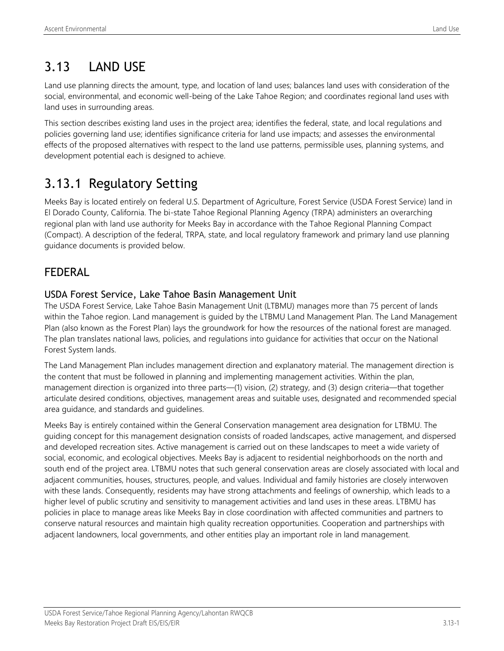# 3.13 LAND USE

Land use planning directs the amount, type, and location of land uses; balances land uses with consideration of the social, environmental, and economic well-being of the Lake Tahoe Region; and coordinates regional land uses with land uses in surrounding areas.

This section describes existing land uses in the project area; identifies the federal, state, and local regulations and policies governing land use; identifies significance criteria for land use impacts; and assesses the environmental effects of the proposed alternatives with respect to the land use patterns, permissible uses, planning systems, and development potential each is designed to achieve.

# 3.13.1 Regulatory Setting

Meeks Bay is located entirely on federal U.S. Department of Agriculture, Forest Service (USDA Forest Service) land in El Dorado County, California. The bi-state Tahoe Regional Planning Agency (TRPA) administers an overarching regional plan with land use authority for Meeks Bay in accordance with the Tahoe Regional Planning Compact (Compact). A description of the federal, TRPA, state, and local regulatory framework and primary land use planning guidance documents is provided below.

## FEDERAL

### USDA Forest Service, Lake Tahoe Basin Management Unit

The USDA Forest Service, Lake Tahoe Basin Management Unit (LTBMU) manages more than 75 percent of lands within the Tahoe region. Land management is guided by the LTBMU Land Management Plan. The Land Management Plan (also known as the Forest Plan) lays the groundwork for how the resources of the national forest are managed. The plan translates national laws, policies, and regulations into guidance for activities that occur on the National Forest System lands.

The Land Management Plan includes management direction and explanatory material. The management direction is the content that must be followed in planning and implementing management activities. Within the plan, management direction is organized into three parts—(1) vision, (2) strategy, and (3) design criteria—that together articulate desired conditions, objectives, management areas and suitable uses, designated and recommended special area guidance, and standards and guidelines.

Meeks Bay is entirely contained within the General Conservation management area designation for LTBMU. The guiding concept for this management designation consists of roaded landscapes, active management, and dispersed and developed recreation sites. Active management is carried out on these landscapes to meet a wide variety of social, economic, and ecological objectives. Meeks Bay is adjacent to residential neighborhoods on the north and south end of the project area. LTBMU notes that such general conservation areas are closely associated with local and adjacent communities, houses, structures, people, and values. Individual and family histories are closely interwoven with these lands. Consequently, residents may have strong attachments and feelings of ownership, which leads to a higher level of public scrutiny and sensitivity to management activities and land uses in these areas. LTBMU has policies in place to manage areas like Meeks Bay in close coordination with affected communities and partners to conserve natural resources and maintain high quality recreation opportunities. Cooperation and partnerships with adjacent landowners, local governments, and other entities play an important role in land management.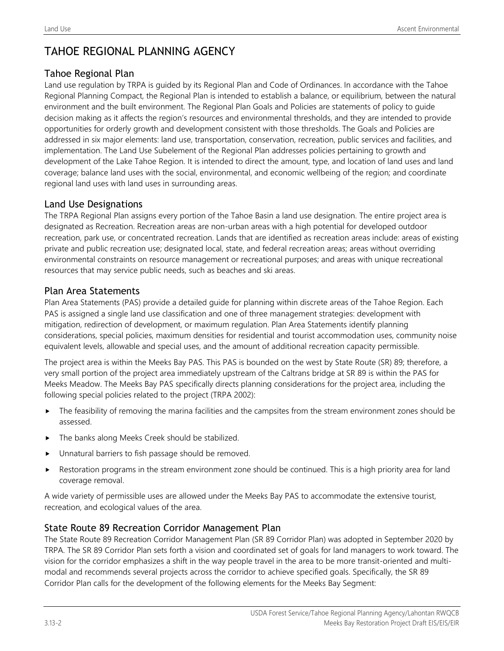## TAHOE REGIONAL PLANNING AGENCY

### Tahoe Regional Plan

Land use regulation by TRPA is guided by its Regional Plan and Code of Ordinances. In accordance with the Tahoe Regional Planning Compact, the Regional Plan is intended to establish a balance, or equilibrium, between the natural environment and the built environment. The Regional Plan Goals and Policies are statements of policy to guide decision making as it affects the region's resources and environmental thresholds, and they are intended to provide opportunities for orderly growth and development consistent with those thresholds. The Goals and Policies are addressed in six major elements: land use, transportation, conservation, recreation, public services and facilities, and implementation. The Land Use Subelement of the Regional Plan addresses policies pertaining to growth and development of the Lake Tahoe Region. It is intended to direct the amount, type, and location of land uses and land coverage; balance land uses with the social, environmental, and economic wellbeing of the region; and coordinate regional land uses with land uses in surrounding areas.

### Land Use Designations

The TRPA Regional Plan assigns every portion of the Tahoe Basin a land use designation. The entire project area is designated as Recreation. Recreation areas are non-urban areas with a high potential for developed outdoor recreation, park use, or concentrated recreation. Lands that are identified as recreation areas include: areas of existing private and public recreation use; designated local, state, and federal recreation areas; areas without overriding environmental constraints on resource management or recreational purposes; and areas with unique recreational resources that may service public needs, such as beaches and ski areas.

### Plan Area Statements

Plan Area Statements (PAS) provide a detailed guide for planning within discrete areas of the Tahoe Region. Each PAS is assigned a single land use classification and one of three management strategies: development with mitigation, redirection of development, or maximum regulation. Plan Area Statements identify planning considerations, special policies, maximum densities for residential and tourist accommodation uses, community noise equivalent levels, allowable and special uses, and the amount of additional recreation capacity permissible.

The project area is within the Meeks Bay PAS. This PAS is bounded on the west by State Route (SR) 89; therefore, a very small portion of the project area immediately upstream of the Caltrans bridge at SR 89 is within the PAS for Meeks Meadow. The Meeks Bay PAS specifically directs planning considerations for the project area, including the following special policies related to the project (TRPA 2002):

- **Fig.** The feasibility of removing the marina facilities and the campsites from the stream environment zones should be assessed.
- The banks along Meeks Creek should be stabilized.
- Unnatural barriers to fish passage should be removed.
- Restoration programs in the stream environment zone should be continued. This is a high priority area for land coverage removal.

A wide variety of permissible uses are allowed under the Meeks Bay PAS to accommodate the extensive tourist, recreation, and ecological values of the area.

### State Route 89 Recreation Corridor Management Plan

The State Route 89 Recreation Corridor Management Plan (SR 89 Corridor Plan) was adopted in September 2020 by TRPA. The SR 89 Corridor Plan sets forth a vision and coordinated set of goals for land managers to work toward. The vision for the corridor emphasizes a shift in the way people travel in the area to be more transit-oriented and multimodal and recommends several projects across the corridor to achieve specified goals. Specifically, the SR 89 Corridor Plan calls for the development of the following elements for the Meeks Bay Segment: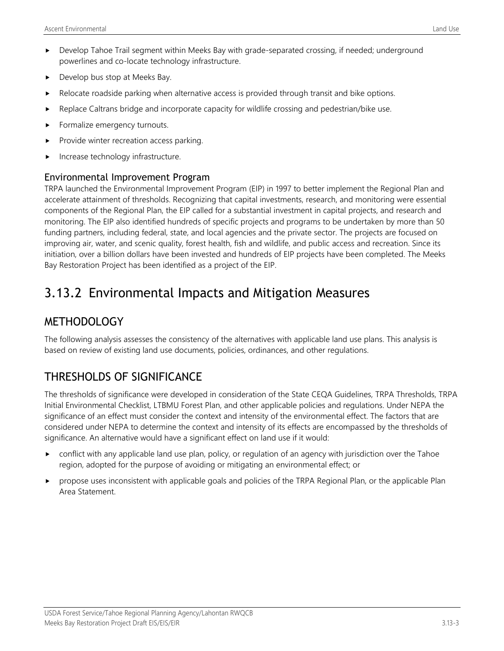- Develop Tahoe Trail segment within Meeks Bay with grade-separated crossing, if needed; underground powerlines and co-locate technology infrastructure.
- Develop bus stop at Meeks Bay.
- Relocate roadside parking when alternative access is provided through transit and bike options.
- Replace Caltrans bridge and incorporate capacity for wildlife crossing and pedestrian/bike use.
- Formalize emergency turnouts.
- Provide winter recreation access parking.
- Increase technology infrastructure.

### Environmental Improvement Program

TRPA launched the Environmental Improvement Program (EIP) in 1997 to better implement the Regional Plan and accelerate attainment of thresholds. Recognizing that capital investments, research, and monitoring were essential components of the Regional Plan, the EIP called for a substantial investment in capital projects, and research and monitoring. The EIP also identified hundreds of specific projects and programs to be undertaken by more than 50 funding partners, including federal, state, and local agencies and the private sector. The projects are focused on improving air, water, and scenic quality, forest health, fish and wildlife, and public access and recreation. Since its initiation, over a billion dollars have been invested and hundreds of EIP projects have been completed. The Meeks Bay Restoration Project has been identified as a project of the EIP.

# 3.13.2 Environmental Impacts and Mitigation Measures

## **METHODOLOGY**

The following analysis assesses the consistency of the alternatives with applicable land use plans. This analysis is based on review of existing land use documents, policies, ordinances, and other regulations.

# THRESHOLDS OF SIGNIFICANCE

The thresholds of significance were developed in consideration of the State CEQA Guidelines, TRPA Thresholds, TRPA Initial Environmental Checklist, LTBMU Forest Plan, and other applicable policies and regulations. Under NEPA the significance of an effect must consider the context and intensity of the environmental effect. The factors that are considered under NEPA to determine the context and intensity of its effects are encompassed by the thresholds of significance. An alternative would have a significant effect on land use if it would:

- $\triangleright$  conflict with any applicable land use plan, policy, or regulation of an agency with jurisdiction over the Tahoe region, adopted for the purpose of avoiding or mitigating an environmental effect; or
- propose uses inconsistent with applicable goals and policies of the TRPA Regional Plan, or the applicable Plan Area Statement.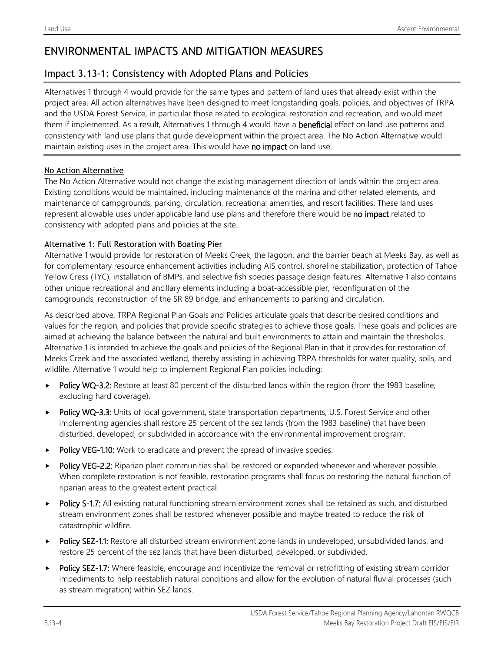## ENVIRONMENTAL IMPACTS AND MITIGATION MEASURES

### Impact 3.13-1: Consistency with Adopted Plans and Policies

Alternatives 1 through 4 would provide for the same types and pattern of land uses that already exist within the project area. All action alternatives have been designed to meet longstanding goals, policies, and objectives of TRPA and the USDA Forest Service, in particular those related to ecological restoration and recreation, and would meet them if implemented. As a result, Alternatives 1 through 4 would have a beneficial effect on land use patterns and consistency with land use plans that guide development within the project area. The No Action Alternative would maintain existing uses in the project area. This would have no impact on land use.

#### No Action Alternative

The No Action Alternative would not change the existing management direction of lands within the project area. Existing conditions would be maintained, including maintenance of the marina and other related elements, and maintenance of campgrounds, parking, circulation, recreational amenities, and resort facilities. These land uses represent allowable uses under applicable land use plans and therefore there would be no impact related to consistency with adopted plans and policies at the site.

#### Alternative 1: Full Restoration with Boating Pier

Alternative 1 would provide for restoration of Meeks Creek, the lagoon, and the barrier beach at Meeks Bay, as well as for complementary resource enhancement activities including AIS control, shoreline stabilization, protection of Tahoe Yellow Cress (TYC), installation of BMPs, and selective fish species passage design features. Alternative 1 also contains other unique recreational and ancillary elements including a boat-accessible pier, reconfiguration of the campgrounds, reconstruction of the SR 89 bridge, and enhancements to parking and circulation.

As described above, TRPA Regional Plan Goals and Policies articulate goals that describe desired conditions and values for the region, and policies that provide specific strategies to achieve those goals. These goals and policies are aimed at achieving the balance between the natural and built environments to attain and maintain the thresholds. Alternative 1 is intended to achieve the goals and policies of the Regional Plan in that it provides for restoration of Meeks Creek and the associated wetland, thereby assisting in achieving TRPA thresholds for water quality, soils, and wildlife. Alternative 1 would help to implement Regional Plan policies including:

- $\triangleright$  Policy WQ-3.2: Restore at least 80 percent of the disturbed lands within the region (from the 1983 baseline; excluding hard coverage).
- Policy WQ-3.3: Units of local government, state transportation departments, U.S. Forest Service and other implementing agencies shall restore 25 percent of the sez lands (from the 1983 baseline) that have been disturbed, developed, or subdivided in accordance with the environmental improvement program.
- Policy VEG-1.10: Work to eradicate and prevent the spread of invasive species.
- Policy VEG-2.2: Riparian plant communities shall be restored or expanded whenever and wherever possible. When complete restoration is not feasible, restoration programs shall focus on restoring the natural function of riparian areas to the greatest extent practical.
- Policy S-1.7: All existing natural functioning stream environment zones shall be retained as such, and disturbed stream environment zones shall be restored whenever possible and maybe treated to reduce the risk of catastrophic wildfire.
- Policy SEZ-1.1: Restore all disturbed stream environment zone lands in undeveloped, unsubdivided lands, and restore 25 percent of the sez lands that have been disturbed, developed, or subdivided.
- Policy SEZ-1.7: Where feasible, encourage and incentivize the removal or retrofitting of existing stream corridor impediments to help reestablish natural conditions and allow for the evolution of natural fluvial processes (such as stream migration) within SEZ lands.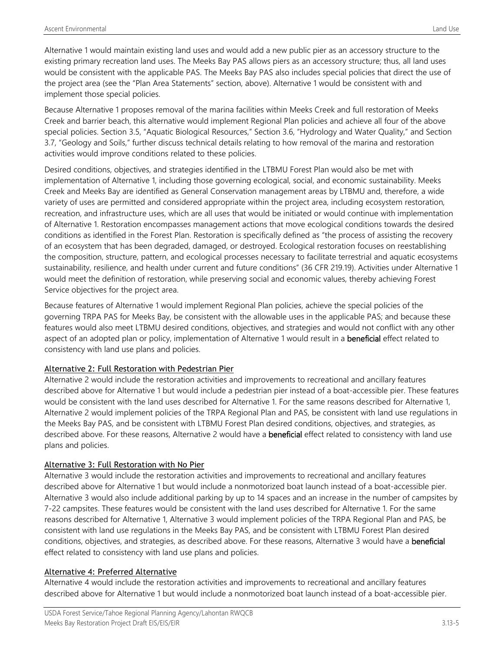Alternative 1 would maintain existing land uses and would add a new public pier as an accessory structure to the existing primary recreation land uses. The Meeks Bay PAS allows piers as an accessory structure; thus, all land uses would be consistent with the applicable PAS. The Meeks Bay PAS also includes special policies that direct the use of the project area (see the "Plan Area Statements" section, above). Alternative 1 would be consistent with and implement those special policies.

Because Alternative 1 proposes removal of the marina facilities within Meeks Creek and full restoration of Meeks Creek and barrier beach, this alternative would implement Regional Plan policies and achieve all four of the above special policies. Section 3.5, "Aquatic Biological Resources," Section 3.6, "Hydrology and Water Quality," and Section 3.7, "Geology and Soils," further discuss technical details relating to how removal of the marina and restoration activities would improve conditions related to these policies.

Desired conditions, objectives, and strategies identified in the LTBMU Forest Plan would also be met with implementation of Alternative 1, including those governing ecological, social, and economic sustainability. Meeks Creek and Meeks Bay are identified as General Conservation management areas by LTBMU and, therefore, a wide variety of uses are permitted and considered appropriate within the project area, including ecosystem restoration, recreation, and infrastructure uses, which are all uses that would be initiated or would continue with implementation of Alternative 1. Restoration encompasses management actions that move ecological conditions towards the desired conditions as identified in the Forest Plan. Restoration is specifically defined as "the process of assisting the recovery of an ecosystem that has been degraded, damaged, or destroyed. Ecological restoration focuses on reestablishing the composition, structure, pattern, and ecological processes necessary to facilitate terrestrial and aquatic ecosystems sustainability, resilience, and health under current and future conditions" (36 CFR 219.19). Activities under Alternative 1 would meet the definition of restoration, while preserving social and economic values, thereby achieving Forest Service objectives for the project area.

Because features of Alternative 1 would implement Regional Plan policies, achieve the special policies of the governing TRPA PAS for Meeks Bay, be consistent with the allowable uses in the applicable PAS; and because these features would also meet LTBMU desired conditions, objectives, and strategies and would not conflict with any other aspect of an adopted plan or policy, implementation of Alternative 1 would result in a **beneficial** effect related to consistency with land use plans and policies.

### Alternative 2: Full Restoration with Pedestrian Pier

Alternative 2 would include the restoration activities and improvements to recreational and ancillary features described above for Alternative 1 but would include a pedestrian pier instead of a boat-accessible pier. These features would be consistent with the land uses described for Alternative 1. For the same reasons described for Alternative 1, Alternative 2 would implement policies of the TRPA Regional Plan and PAS, be consistent with land use regulations in the Meeks Bay PAS, and be consistent with LTBMU Forest Plan desired conditions, objectives, and strategies, as described above. For these reasons, Alternative 2 would have a **beneficial** effect related to consistency with land use plans and policies.

### Alternative 3: Full Restoration with No Pier

Alternative 3 would include the restoration activities and improvements to recreational and ancillary features described above for Alternative 1 but would include a nonmotorized boat launch instead of a boat-accessible pier. Alternative 3 would also include additional parking by up to 14 spaces and an increase in the number of campsites by 7-22 campsites. These features would be consistent with the land uses described for Alternative 1. For the same reasons described for Alternative 1, Alternative 3 would implement policies of the TRPA Regional Plan and PAS, be consistent with land use regulations in the Meeks Bay PAS, and be consistent with LTBMU Forest Plan desired conditions, objectives, and strategies, as described above. For these reasons, Alternative 3 would have a beneficial effect related to consistency with land use plans and policies.

#### Alternative 4: Preferred Alternative

Alternative 4 would include the restoration activities and improvements to recreational and ancillary features described above for Alternative 1 but would include a nonmotorized boat launch instead of a boat-accessible pier.